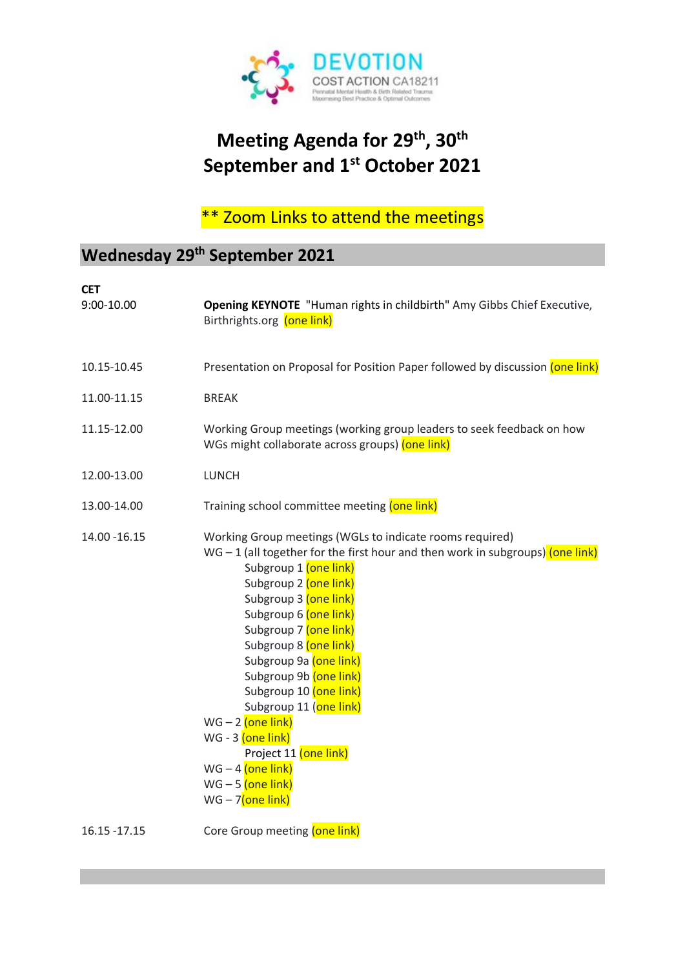

## **Meeting Agenda for 29 th, 30th September and 1st October 2021**

# \*\* Zoom Links to attend the meetings

## **Wednesday 29th September 2021**

| <b>CET</b><br>9:00-10.00 | Opening KEYNOTE "Human rights in childbirth" Amy Gibbs Chief Executive,<br>Birthrights.org (one link)                                                                                                                                                                                                                                                                                                                                                                                                                                                  |
|--------------------------|--------------------------------------------------------------------------------------------------------------------------------------------------------------------------------------------------------------------------------------------------------------------------------------------------------------------------------------------------------------------------------------------------------------------------------------------------------------------------------------------------------------------------------------------------------|
| 10.15-10.45              | Presentation on Proposal for Position Paper followed by discussion (one link)                                                                                                                                                                                                                                                                                                                                                                                                                                                                          |
| 11.00-11.15              | <b>BREAK</b>                                                                                                                                                                                                                                                                                                                                                                                                                                                                                                                                           |
| 11.15-12.00              | Working Group meetings (working group leaders to seek feedback on how<br>WGs might collaborate across groups) (one link)                                                                                                                                                                                                                                                                                                                                                                                                                               |
| 12.00-13.00              | <b>LUNCH</b>                                                                                                                                                                                                                                                                                                                                                                                                                                                                                                                                           |
| 13.00-14.00              | Training school committee meeting (one link)                                                                                                                                                                                                                                                                                                                                                                                                                                                                                                           |
| 14.00 - 16.15            | Working Group meetings (WGLs to indicate rooms required)<br>WG $-$ 1 (all together for the first hour and then work in subgroups) (one link)<br>Subgroup 1 (one link)<br>Subgroup 2 (one link)<br>Subgroup 3 (one link)<br>Subgroup 6 (one link)<br>Subgroup 7 (one link)<br>Subgroup 8 (one link)<br>Subgroup 9a (one link)<br>Subgroup 9b (one link)<br>Subgroup 10 (one link)<br>Subgroup 11 (one link)<br>$WG - 2$ (one link)<br>$WG - 3$ (one link)<br>Project 11 (one link)<br>$WG - 4$ (one link)<br>$WG - 5$ (one link)<br>$WG - 7$ (one link) |
| 16.15 - 17.15            | Core Group meeting (one link)                                                                                                                                                                                                                                                                                                                                                                                                                                                                                                                          |